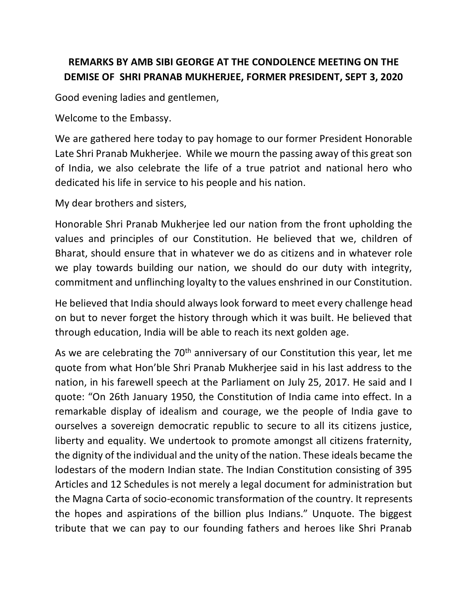## **REMARKS BY AMB SIBI GEORGE AT THE CONDOLENCE MEETING ON THE DEMISE OF SHRI PRANAB MUKHERJEE, FORMER PRESIDENT, SEPT 3, 2020**

Good evening ladies and gentlemen,

Welcome to the Embassy.

We are gathered here today to pay homage to our former President Honorable Late Shri Pranab Mukherjee. While we mourn the passing away of this great son of India, we also celebrate the life of a true patriot and national hero who dedicated his life in service to his people and his nation.

My dear brothers and sisters,

Honorable Shri Pranab Mukherjee led our nation from the front upholding the values and principles of our Constitution. He believed that we, children of Bharat, should ensure that in whatever we do as citizens and in whatever role we play towards building our nation, we should do our duty with integrity, commitment and unflinching loyalty to the values enshrined in our Constitution.

He believed that India should always look forward to meet every challenge head on but to never forget the history through which it was built. He believed that through education, India will be able to reach its next golden age.

As we are celebrating the 70<sup>th</sup> anniversary of our Constitution this year, let me quote from what Hon'ble Shri Pranab Mukherjee said in his last address to the nation, in his farewell speech at the Parliament on July 25, 2017. He said and I quote: "On 26th January 1950, the Constitution of India came into effect. In a remarkable display of idealism and courage, we the people of India gave to ourselves a sovereign democratic republic to secure to all its citizens justice, liberty and equality. We undertook to promote amongst all citizens fraternity, the dignity of the individual and the unity of the nation. These ideals became the lodestars of the modern Indian state. The Indian Constitution consisting of 395 Articles and 12 Schedules is not merely a legal document for administration but the Magna Carta of socio-economic transformation of the country. It represents the hopes and aspirations of the billion plus Indians." Unquote. The biggest tribute that we can pay to our founding fathers and heroes like Shri Pranab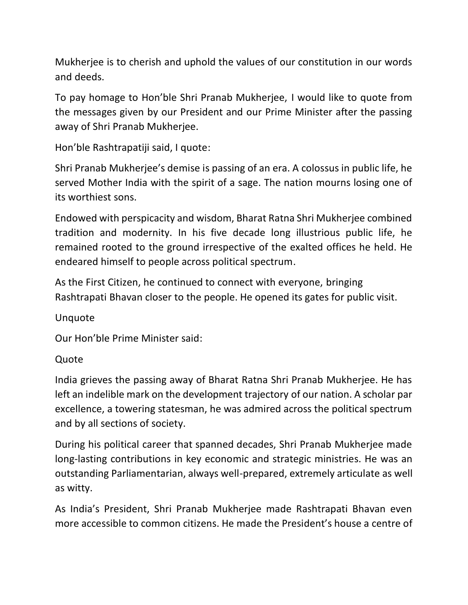Mukherjee is to cherish and uphold the values of our constitution in our words and deeds.

To pay homage to Hon'ble Shri Pranab Mukherjee, I would like to quote from the messages given by our President and our Prime Minister after the passing away of Shri Pranab Mukherjee.

Hon'ble Rashtrapatiji said, I quote:

Shri Pranab Mukherjee's demise is passing of an era. A colossus in public life, he served Mother India with the spirit of a sage. The nation mourns losing one of its worthiest sons.

Endowed with perspicacity and wisdom, Bharat Ratna Shri Mukherjee combined tradition and modernity. In his five decade long illustrious public life, he remained rooted to the ground irrespective of the exalted offices he held. He endeared himself to people across political spectrum.

As the First Citizen, he continued to connect with everyone, bringing Rashtrapati Bhavan closer to the people. He opened its gates for public visit.

Unquote

Our Hon'ble Prime Minister said:

Quote

India grieves the passing away of Bharat Ratna Shri Pranab Mukherjee. He has left an indelible mark on the development trajectory of our nation. A scholar par excellence, a towering statesman, he was admired across the political spectrum and by all sections of society.

During his political career that spanned decades, Shri Pranab Mukherjee made long-lasting contributions in key economic and strategic ministries. He was an outstanding Parliamentarian, always well-prepared, extremely articulate as well as witty.

As India's President, Shri Pranab Mukherjee made Rashtrapati Bhavan even more accessible to common citizens. He made the President's house a centre of